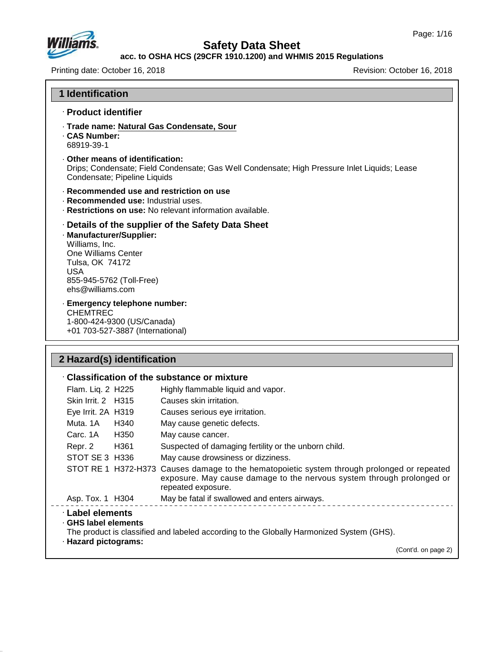

#### **acc. to OSHA HCS (29CFR 1910.1200) and WHMIS 2015 Regulations**

Printing date: October 16, 2018 **Printing date: October 16, 2018** Revision: October 16, 2018

| <b>1 Identification</b>                                                                                                                                                                                    |
|------------------------------------------------------------------------------------------------------------------------------------------------------------------------------------------------------------|
| · Product identifier                                                                                                                                                                                       |
| · Trade name: Natural Gas Condensate, Sour<br>. CAS Number:<br>68919-39-1                                                                                                                                  |
| Other means of identification:<br>Drips; Condensate; Field Condensate; Gas Well Condensate; High Pressure Inlet Liquids; Lease<br>Condensate; Pipeline Liquids                                             |
| · Recommended use and restriction on use<br>· Recommended use: Industrial uses.<br>· Restrictions on use: No relevant information available.                                                               |
| Details of the supplier of the Safety Data Sheet<br>· Manufacturer/Supplier:<br>Williams, Inc.<br>One Williams Center<br>Tulsa, OK 74172<br><b>USA</b><br>855-945-5762 (Toll-Free)<br>$ehs@$ williams, com |
| · Emergency telephone number:<br><b>CHEMTREC</b><br>1-800-424-9300 (US/Canada)<br>+01 703-527-3887 (International)                                                                                         |

# **2 Hazard(s) identification**

47.0.13

|                                                                  |      | $\cdot$ Classification of the substance or mixture                                                                                                                                         |
|------------------------------------------------------------------|------|--------------------------------------------------------------------------------------------------------------------------------------------------------------------------------------------|
| Flam. Liq. 2 H225                                                |      | Highly flammable liquid and vapor.                                                                                                                                                         |
| Skin Irrit. 2 H315                                               |      | Causes skin irritation.                                                                                                                                                                    |
| Eye Irrit. 2A H319                                               |      | Causes serious eye irritation.                                                                                                                                                             |
| Muta. 1A                                                         | H340 | May cause genetic defects.                                                                                                                                                                 |
| Carc. 1A                                                         | H350 | May cause cancer.                                                                                                                                                                          |
| Repr. 2                                                          | H361 | Suspected of damaging fertility or the unborn child.                                                                                                                                       |
| STOT SE 3 H336                                                   |      | May cause drowsiness or dizziness.                                                                                                                                                         |
|                                                                  |      | STOT RE 1 H372-H373 Causes damage to the hematopoietic system through prolonged or repeated<br>exposure. May cause damage to the nervous system through prolonged or<br>repeated exposure. |
| Asp. Tox. 1 H304                                                 |      | May be fatal if swallowed and enters airways.                                                                                                                                              |
| · Label elements<br>⋅ GHS label elements<br>· Hazard pictograms: |      | The product is classified and labeled according to the Globally Harmonized System (GHS).<br>(Cont'd. on page 2)                                                                            |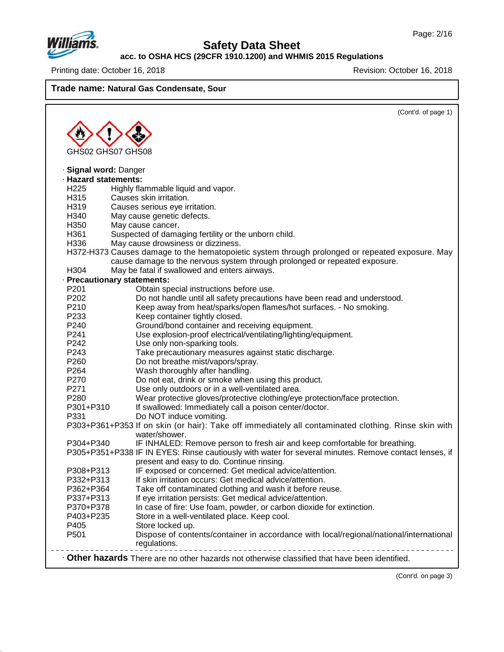

## **Safety Data Sheet**

**acc. to OSHA HCS (29CFR 1910.1200) and WHMIS 2015 Regulations**

Printing date: October 16, 2018 **Printing date: October 16, 2018** Revision: October 16, 2018

**Trade name: Natural Gas Condensate, Sour**

|                             | (Cont'd. of page 1)                                                                                                   |
|-----------------------------|-----------------------------------------------------------------------------------------------------------------------|
|                             |                                                                                                                       |
|                             |                                                                                                                       |
| GHS02 GHS07 GHS08           |                                                                                                                       |
|                             |                                                                                                                       |
| · Signal word: Danger       |                                                                                                                       |
| · Hazard statements:        |                                                                                                                       |
| H <sub>225</sub>            | Highly flammable liquid and vapor.                                                                                    |
| H315                        | Causes skin irritation.                                                                                               |
| H319                        | Causes serious eye irritation.                                                                                        |
| H340                        | May cause genetic defects.                                                                                            |
| H350                        | May cause cancer.                                                                                                     |
| H361                        | Suspected of damaging fertility or the unborn child.                                                                  |
| H336                        | May cause drowsiness or dizziness.                                                                                    |
|                             | H372-H373 Causes damage to the hematopoietic system through prolonged or repeated exposure. May                       |
|                             | cause damage to the nervous system through prolonged or repeated exposure.                                            |
| H304                        | May be fatal if swallowed and enters airways.                                                                         |
| · Precautionary statements: |                                                                                                                       |
| P201                        | Obtain special instructions before use.                                                                               |
| P202                        | Do not handle until all safety precautions have been read and understood.                                             |
| P210                        | Keep away from heat/sparks/open flames/hot surfaces. - No smoking.                                                    |
| P233                        | Keep container tightly closed.                                                                                        |
| P240                        | Ground/bond container and receiving equipment.                                                                        |
| P241                        | Use explosion-proof electrical/ventilating/lighting/equipment.                                                        |
| P242                        | Use only non-sparking tools.                                                                                          |
| P243                        | Take precautionary measures against static discharge.                                                                 |
| P260                        | Do not breathe mist/vapors/spray.                                                                                     |
| P <sub>264</sub>            | Wash thoroughly after handling.                                                                                       |
| P270                        | Do not eat, drink or smoke when using this product.                                                                   |
| P271                        | Use only outdoors or in a well-ventilated area.                                                                       |
| P280                        | Wear protective gloves/protective clothing/eye protection/face protection.                                            |
| P301+P310                   | If swallowed: Immediately call a poison center/doctor.                                                                |
| P331                        | Do NOT induce vomiting.                                                                                               |
|                             | P303+P361+P353 If on skin (or hair): Take off immediately all contaminated clothing. Rinse skin with<br>water/shower. |
| P304+P340                   |                                                                                                                       |
|                             | IF INHALED: Remove person to fresh air and keep comfortable for breathing.                                            |
|                             | P305+P351+P338 IF IN EYES: Rinse cautiously with water for several minutes. Remove contact lenses, if                 |
|                             | present and easy to do. Continue rinsing.                                                                             |
| P308+P313<br>P332+P313      | IF exposed or concerned: Get medical advice/attention.                                                                |
|                             | If skin irritation occurs: Get medical advice/attention.                                                              |
| P362+P364                   | Take off contaminated clothing and wash it before reuse.<br>If eye irritation persists: Get medical advice/attention. |
| P337+P313                   |                                                                                                                       |
| P370+P378<br>P403+P235      | In case of fire: Use foam, powder, or carbon dioxide for extinction.                                                  |
| P405                        | Store in a well-ventilated place. Keep cool.                                                                          |
| P501                        | Store locked up.<br>Dispose of contents/container in accordance with local/regional/national/international            |
|                             |                                                                                                                       |
|                             | regulations.                                                                                                          |
|                             | Other hazards There are no other hazards not otherwise classified that have been identified.                          |

(Cont'd. on page 3)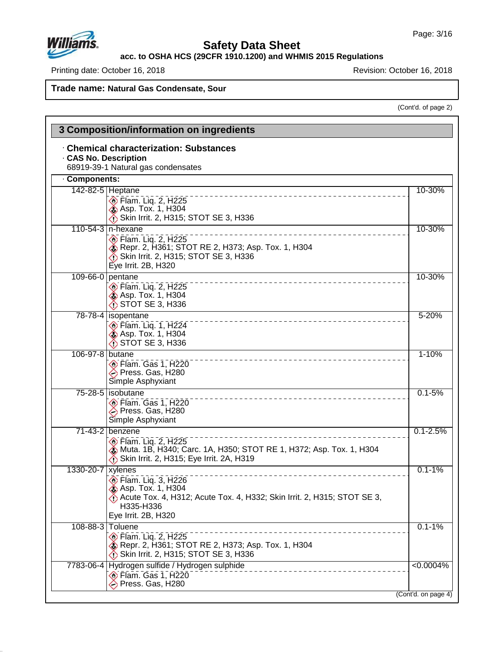

 $\mathbf{I}$ 

47.0.13

## **Safety Data Sheet**

**acc. to OSHA HCS (29CFR 1910.1200) and WHMIS 2015 Regulations**

Printing date: October 16, 2018 **Printing date: October 16, 2018** 

**Trade name: Natural Gas Condensate, Sour**

(Cont'd. of page 2)

|                   | 3 Composition/information on ingredients                                                                                                                                   |                     |
|-------------------|----------------------------------------------------------------------------------------------------------------------------------------------------------------------------|---------------------|
|                   | <b>Chemical characterization: Substances</b><br><b>CAS No. Description</b><br>68919-39-1 Natural gas condensates                                                           |                     |
| Components:       |                                                                                                                                                                            |                     |
|                   | 142-82-5 Heptane<br><b>Elam.</b> Liq. 2, H225<br><b>Asp. Tox. 1, H304</b><br>Skin Irrit. 2, H315; STOT SE 3, H336                                                          | 10-30%              |
|                   | 110-54-3   n-hexane<br>$\circ$ Flam. Liq. 2, H225<br>Repr. 2, H361; STOT RE 2, H373; Asp. Tox. 1, H304<br>Skin Irrit. 2, H315; STOT SE 3, H336<br>Eye Irrit. 2B, H320      | 10-30%              |
|                   | 109-66-0 pentane<br><b>Elam.</b> Liq. 2, H225<br><b>Asp. Tox. 1, H304</b><br>$\bigwedge$ STOT SE 3, H336                                                                   | 10-30%              |
|                   | 78-78-4   isopentane<br><b>Elam.</b> Liq. 1, H224<br><b>Asp. Tox. 1, H304</b><br>STOT SE 3, H336                                                                           | $5 - 20%$           |
| 106-97-8 butane   | $\circledcirc$ Flam. Gas 1, H220<br>→ Press. Gas, H280<br>Simple Asphyxiant                                                                                                | $1 - 10%$           |
|                   | 75-28-5   isobutane<br>$\circledcirc$ Flam. Gas 1, H220<br>→ Press. Gas, H280<br>Simple Asphyxiant                                                                         | $0.1 - 5%$          |
|                   | 71-43-2 benzene<br><b>Elam. Lig. 2, H225</b><br>Muta. 1B, H340; Carc. 1A, H350; STOT RE 1, H372; Asp. Tox. 1, H304<br>Skin Irrit. 2, H315; Eye Irrit. 2A, H319             | $0.1 - 2.5%$        |
| 1330-20-7 xylenes | <b>Elam.</b> Liq. 3, H226<br><b>&amp; Asp. Tox. 1, H304</b><br>Acute Tox. 4, H312; Acute Tox. 4, H332; Skin Irrit. 2, H315; STOT SE 3,<br>H335-H336<br>Eye Irrit. 2B, H320 | $0.1 - 1%$          |
|                   | 108-88-3 Toluene<br><b>Elam.</b> Liq. 2, H225<br>Repr. 2, H361; STOT RE 2, H373; Asp. Tox. 1, H304<br>Skin Irrit. 2, H315; STOT SE 3, H336                                 | $0.1 - 1%$          |
|                   | 7783-06-4 Hydrogen sulfide / Hydrogen sulphide<br>_________________<br><b>Elam. Gas 1, H220</b><br>→ Press. Gas, H280                                                      | $\sqrt{0.0004\%}$   |
|                   |                                                                                                                                                                            | (Cont'd. on page 4) |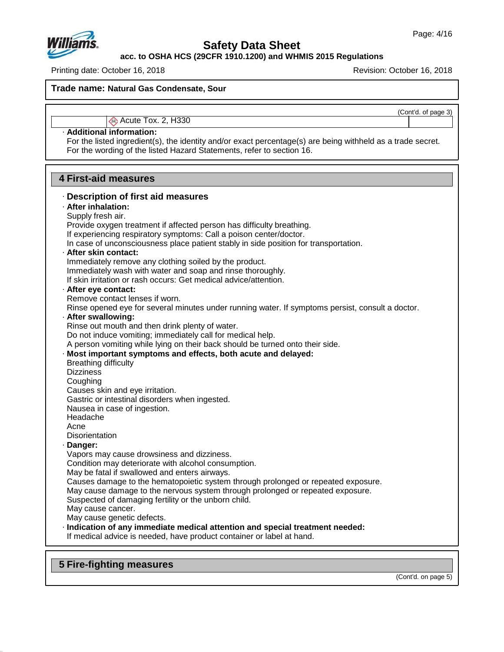

**acc. to OSHA HCS (29CFR 1910.1200) and WHMIS 2015 Regulations**

Printing date: October 16, 2018 **Printing date: October 16, 2018** 

**Trade name: Natural Gas Condensate, Sour**

(Cont'd. of page 3)

## Acute Tox. 2, H330

## · **Additional information:**

For the listed ingredient(s), the identity and/or exact percentage(s) are being withheld as a trade secret. For the wording of the listed Hazard Statements, refer to section 16.

## **4 First-aid measures**

| · Description of first aid measures                                                                                                                    |
|--------------------------------------------------------------------------------------------------------------------------------------------------------|
| · After inhalation:                                                                                                                                    |
| Supply fresh air.                                                                                                                                      |
| Provide oxygen treatment if affected person has difficulty breathing.                                                                                  |
| If experiencing respiratory symptoms: Call a poison center/doctor.                                                                                     |
| In case of unconsciousness place patient stably in side position for transportation.                                                                   |
| · After skin contact:                                                                                                                                  |
| Immediately remove any clothing soiled by the product.                                                                                                 |
| Immediately wash with water and soap and rinse thoroughly.                                                                                             |
| If skin irritation or rash occurs: Get medical advice/attention.                                                                                       |
| · After eye contact:                                                                                                                                   |
| Remove contact lenses if worn.                                                                                                                         |
| Rinse opened eye for several minutes under running water. If symptoms persist, consult a doctor.                                                       |
| · After swallowing:                                                                                                                                    |
| Rinse out mouth and then drink plenty of water.                                                                                                        |
| Do not induce vomiting; immediately call for medical help.                                                                                             |
| A person vomiting while lying on their back should be turned onto their side.                                                                          |
| · Most important symptoms and effects, both acute and delayed:                                                                                         |
| <b>Breathing difficulty</b>                                                                                                                            |
| <b>Dizziness</b>                                                                                                                                       |
| Coughing                                                                                                                                               |
| Causes skin and eye irritation.                                                                                                                        |
| Gastric or intestinal disorders when ingested.                                                                                                         |
| Nausea in case of ingestion.                                                                                                                           |
| Headache                                                                                                                                               |
| Acne                                                                                                                                                   |
| <b>Disorientation</b>                                                                                                                                  |
| · Danger:                                                                                                                                              |
| Vapors may cause drowsiness and dizziness.                                                                                                             |
| Condition may deteriorate with alcohol consumption.                                                                                                    |
| May be fatal if swallowed and enters airways.                                                                                                          |
| Causes damage to the hematopoietic system through prolonged or repeated exposure.                                                                      |
| May cause damage to the nervous system through prolonged or repeated exposure.                                                                         |
| Suspected of damaging fertility or the unborn child.                                                                                                   |
| May cause cancer.                                                                                                                                      |
| May cause genetic defects.                                                                                                                             |
| · Indication of any immediate medical attention and special treatment needed:<br>If medical advice is needed, have product container or label at hand. |
|                                                                                                                                                        |
|                                                                                                                                                        |

## **5 Fire-fighting measures**

47.0.13

(Cont'd. on page 5)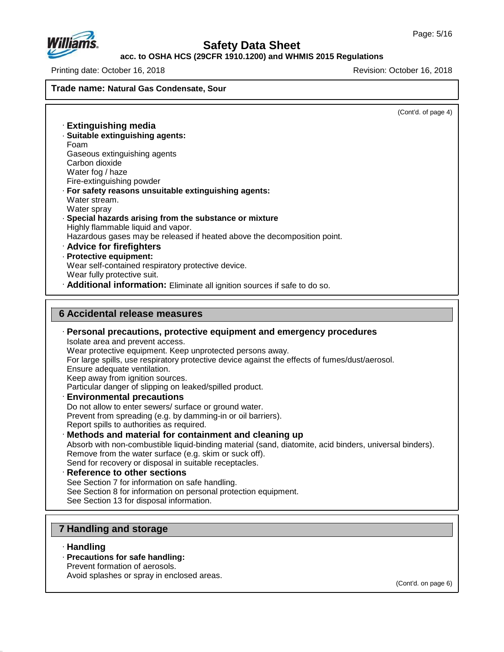(Cont'd. of page 4)



## **Safety Data Sheet**

## **acc. to OSHA HCS (29CFR 1910.1200) and WHMIS 2015 Regulations**

Printing date: October 16, 2018 Revision: October 16, 2018 **Trade name: Natural Gas Condensate, Sour** · **Extinguishing media** · **Suitable extinguishing agents:** Foam Gaseous extinguishing agents Carbon dioxide Water fog / haze Fire-extinguishing powder · **For safety reasons unsuitable extinguishing agents:** Water stream. Water sprav · **Special hazards arising from the substance or mixture** Highly flammable liquid and vapor. Hazardous gases may be released if heated above the decomposition point. · **Advice for firefighters** · **Protective equipment:** Wear self-contained respiratory protective device. Wear fully protective suit. · **Additional information:** Eliminate all ignition sources if safe to do so. **6 Accidental release measures** · **Personal precautions, protective equipment and emergency procedures** Isolate area and prevent access. Wear protective equipment. Keep unprotected persons away. For large spills, use respiratory protective device against the effects of fumes/dust/aerosol. Ensure adequate ventilation. Keep away from ignition sources. Particular danger of slipping on leaked/spilled product. · **Environmental precautions** Do not allow to enter sewers/ surface or ground water. Prevent from spreading (e.g. by damming-in or oil barriers). Report spills to authorities as required. · **Methods and material for containment and cleaning up**

#### Absorb with non-combustible liquid-binding material (sand, diatomite, acid binders, universal binders). Remove from the water surface (e.g. skim or suck off). Send for recovery or disposal in suitable receptacles. · **Reference to other sections**

See Section 7 for information on safe handling.

See Section 8 for information on personal protection equipment.

See Section 13 for disposal information.

## **7 Handling and storage**

#### · **Handling**

47.0.13

· **Precautions for safe handling:**

Prevent formation of aerosols.

Avoid splashes or spray in enclosed areas.

(Cont'd. on page 6)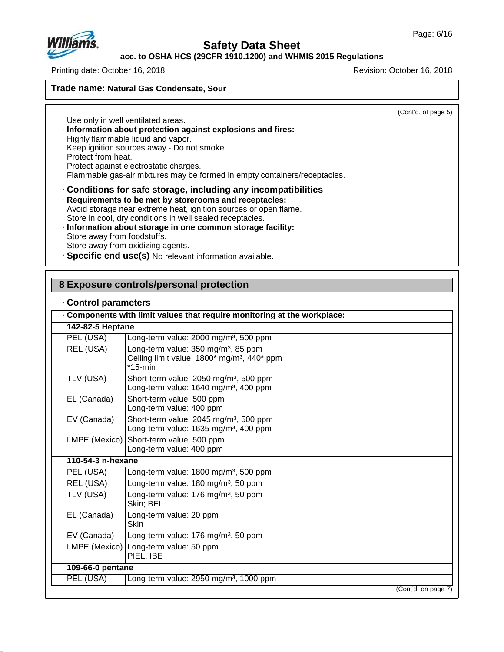

## **acc. to OSHA HCS (29CFR 1910.1200) and WHMIS 2015 Regulations**

Printing date: October 16, 2018 Revision: October 16, 2018

**Trade name: Natural Gas Condensate, Sour**

(Cont'd. of page 5)

Use only in well ventilated areas. · **Information about protection against explosions and fires:** Highly flammable liquid and vapor. Keep ignition sources away - Do not smoke. Protect from heat. Protect against electrostatic charges. Flammable gas-air mixtures may be formed in empty containers/receptacles. · **Conditions for safe storage, including any incompatibilities** · **Requirements to be met by storerooms and receptacles:** Avoid storage near extreme heat, ignition sources or open flame. Store in cool, dry conditions in well sealed receptacles.

- · **Information about storage in one common storage facility:** Store away from foodstuffs. Store away from oxidizing agents.
- · **Specific end use(s)** No relevant information available.

#### **8 Exposure controls/personal protection**

#### · **Control parameters**

47.0.13

|                   | Components with limit values that require monitoring at the workplace:                                                   |  |
|-------------------|--------------------------------------------------------------------------------------------------------------------------|--|
| 142-82-5 Heptane  |                                                                                                                          |  |
| PEL (USA)         | Long-term value: 2000 mg/m <sup>3</sup> , 500 ppm                                                                        |  |
| REL (USA)         | Long-term value: 350 mg/m <sup>3</sup> , 85 ppm<br>Ceiling limit value: 1800* mg/m <sup>3</sup> , 440* ppm<br>$*$ 15-min |  |
| TLV (USA)         | Short-term value: 2050 mg/m <sup>3</sup> , 500 ppm<br>Long-term value: 1640 mg/m <sup>3</sup> , 400 ppm                  |  |
| EL (Canada)       | Short-term value: 500 ppm<br>Long-term value: 400 ppm                                                                    |  |
| EV (Canada)       | Short-term value: 2045 mg/m <sup>3</sup> , 500 ppm<br>Long-term value: 1635 mg/m <sup>3</sup> , 400 ppm                  |  |
| LMPE (Mexico)     | Short-term value: 500 ppm<br>Long-term value: 400 ppm                                                                    |  |
| 110-54-3 n-hexane |                                                                                                                          |  |
| PEL (USA)         | Long-term value: 1800 mg/m <sup>3</sup> , 500 ppm                                                                        |  |
| REL (USA)         | Long-term value: 180 mg/m <sup>3</sup> , 50 ppm                                                                          |  |
| TLV (USA)         | Long-term value: 176 mg/m <sup>3</sup> , 50 ppm<br>Skin; BEI                                                             |  |
| EL (Canada)       | Long-term value: 20 ppm<br><b>Skin</b>                                                                                   |  |
| EV (Canada)       | Long-term value: 176 mg/m <sup>3</sup> , 50 ppm                                                                          |  |
|                   | LMPE (Mexico) Long-term value: 50 ppm<br>PIEL, IBE                                                                       |  |
| 109-66-0 pentane  |                                                                                                                          |  |
| PEL (USA)         | Long-term value: 2950 mg/m <sup>3</sup> , 1000 ppm                                                                       |  |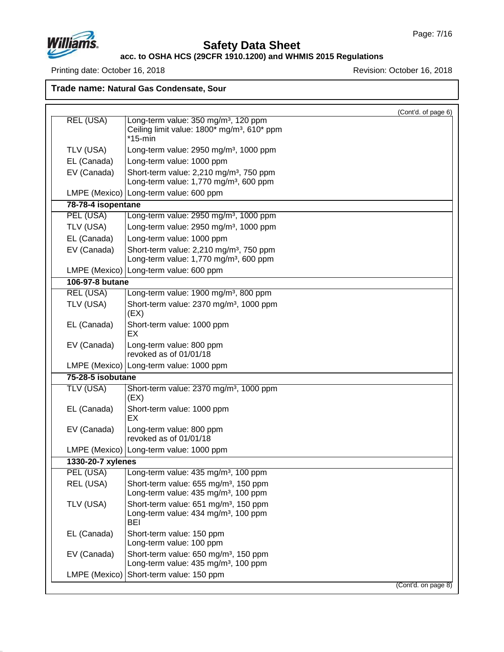

## **Safety Data Sheet**

#### **acc. to OSHA HCS (29CFR 1910.1200) and WHMIS 2015 Regulations**

Printing date: October 16, 2018 Revision: October 16, 2018

**Trade name: Natural Gas Condensate, Sour**

(Cont'd. of page 6) REL (USA) | Long-term value: 350 mg/m<sup>3</sup>, 120 ppm Ceiling limit value:  $1800*$  mg/m<sup>3</sup>,  $610*$  ppm \*15-min TLV (USA)  $\vert$  Long-term value: 2950 mg/m<sup>3</sup>, 1000 ppm EL (Canada) Long-term value: 1000 ppm EV (Canada) Short-term value:  $2,210$  mg/m<sup>3</sup>, 750 ppm Long-term value:  $1,770$  mg/m $3,600$  ppm LMPE (Mexico) Long-term value: 600 ppm **78-78-4 isopentane** PEL (USA) Long-term value: 2950 mg/m<sup>3</sup>, 1000 ppm TLV (USA)  $\vert$  Long-term value: 2950 mg/m<sup>3</sup>, 1000 ppm EL (Canada) Long-term value: 1000 ppm EV (Canada) Short-term value:  $2,210$  mg/m<sup>3</sup>, 750 ppm Long-term value:  $1,770$  mg/m $3,600$  ppm LMPE (Mexico) Long-term value: 600 ppm **106-97-8 butane** REL (USA) Long-term value: 1900 mg/m<sup>3</sup>, 800 ppm TLV (USA) Short-term value:  $2370$  mg/m<sup>3</sup>, 1000 ppm (EX) EL (Canada) | Short-term value: 1000 ppm EX EV (Canada) Long-term value: 800 ppm revoked as of 01/01/18 LMPE (Mexico) Long-term value: 1000 ppm **75-28-5 isobutane** TLV (USA) Short-term value: 2370 mg/m<sup>3</sup>, 1000 ppm (EX) EL (Canada) Short-term value: 1000 ppm EX EV (Canada) Long-term value: 800 ppm revoked as of 01/01/18 LMPE (Mexico) Long-term value: 1000 ppm **1330-20-7 xylenes** PEL (USA) | Long-term value: 435 mg/m<sup>3</sup>, 100 ppm REL (USA) Short-term value: 655 mg/m<sup>3</sup>, 150 ppm Long-term value:  $435 \text{ mg/m}^3$ , 100 ppm TLV (USA) Short-term value:  $651 \text{ mg/m}^3$ , 150 ppm Long-term value:  $434$  mg/m<sup>3</sup>, 100 ppm BEI EL (Canada) Short-term value: 150 ppm Long-term value: 100 ppm EV (Canada) Short-term value:  $650 \text{ mg/m}^3$ , 150 ppm Long-term value: 435 mg/m<sup>3</sup>, 100 ppm LMPE (Mexico) Short-term value: 150 ppm (Cont'd. on page 8)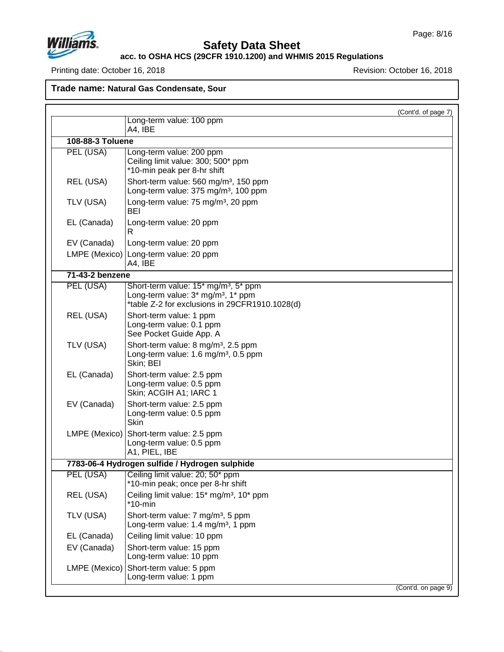

## **Safety Data Sheet**

**acc. to OSHA HCS (29CFR 1910.1200) and WHMIS 2015 Regulations**

Printing date: October 16, 2018 **Printing date: October 16, 2018** 

**Trade name: Natural Gas Condensate, Sour**

|                  |                                                                                                                                                      | (Cont'd. of page 7) |
|------------------|------------------------------------------------------------------------------------------------------------------------------------------------------|---------------------|
|                  | Long-term value: 100 ppm<br>A4, IBE                                                                                                                  |                     |
| 108-88-3 Toluene |                                                                                                                                                      |                     |
| PEL (USA)        | Long-term value: 200 ppm<br>Ceiling limit value: 300; 500* ppm<br>*10-min peak per 8-hr shift                                                        |                     |
| REL (USA)        | Short-term value: 560 mg/m <sup>3</sup> , 150 ppm<br>Long-term value: 375 mg/m <sup>3</sup> , 100 ppm                                                |                     |
| TLV (USA)        | Long-term value: 75 mg/m <sup>3</sup> , 20 ppm<br>BEI                                                                                                |                     |
| EL (Canada)      | Long-term value: 20 ppm<br>R                                                                                                                         |                     |
| EV (Canada)      | Long-term value: 20 ppm                                                                                                                              |                     |
|                  | LMPE (Mexico) Long-term value: 20 ppm<br>A4, IBE                                                                                                     |                     |
| 71-43-2 benzene  |                                                                                                                                                      |                     |
| PEL (USA)        | Short-term value: 15* mg/m <sup>3</sup> , 5* ppm<br>Long-term value: 3* mg/m <sup>3</sup> , 1* ppm<br>*table Z-2 for exclusions in 29CFR1910.1028(d) |                     |
| REL (USA)        | Short-term value: 1 ppm<br>Long-term value: 0.1 ppm<br>See Pocket Guide App. A                                                                       |                     |
| TLV (USA)        | Short-term value: 8 mg/m <sup>3</sup> , 2.5 ppm<br>Long-term value: 1.6 mg/m <sup>3</sup> , 0.5 ppm<br>Skin; BEI                                     |                     |
| EL (Canada)      | Short-term value: 2.5 ppm<br>Long-term value: 0.5 ppm<br>Skin; ACGIH A1; IARC 1                                                                      |                     |
| EV (Canada)      | Short-term value: 2.5 ppm<br>Long-term value: 0.5 ppm<br>Skin                                                                                        |                     |
|                  | LMPE (Mexico) Short-term value: 2.5 ppm<br>Long-term value: 0.5 ppm<br>A1, PIEL, IBE                                                                 |                     |
|                  | 7783-06-4 Hydrogen sulfide / Hydrogen sulphide                                                                                                       |                     |
|                  | PEL (USA) Ceiling limit value: 20; 50* ppm<br>*10-min peak; once per 8-hr shift                                                                      |                     |
| REL (USA)        | Ceiling limit value: 15 <sup>*</sup> mg/m <sup>3</sup> , 10 <sup>*</sup> ppm<br>$*10$ -min                                                           |                     |
| TLV (USA)        | Short-term value: 7 mg/m <sup>3</sup> , 5 ppm<br>Long-term value: 1.4 mg/m <sup>3</sup> , 1 ppm                                                      |                     |
| EL (Canada)      | Ceiling limit value: 10 ppm                                                                                                                          |                     |
| EV (Canada)      | Short-term value: 15 ppm<br>Long-term value: 10 ppm                                                                                                  |                     |
| LMPE (Mexico)    | Short-term value: 5 ppm<br>Long-term value: 1 ppm                                                                                                    |                     |
|                  |                                                                                                                                                      | (Cont'd. on page 9) |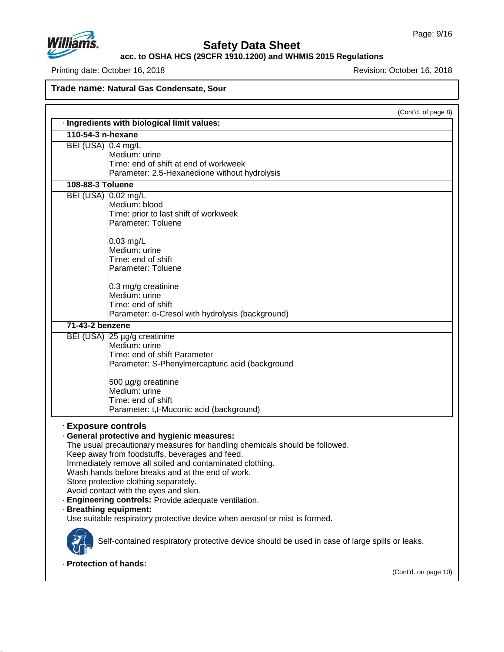

## **Safety Data Sheet**

**acc. to OSHA HCS (29CFR 1910.1200) and WHMIS 2015 Regulations**

Printing date: October 16, 2018 **Printing date: October 16, 2018** Revision: October 16, 2018

**Trade name: Natural Gas Condensate, Sour**

(Cont'd. of page 8)

|                        | · Ingredients with biological limit values:                                                   |
|------------------------|-----------------------------------------------------------------------------------------------|
| 110-54-3 n-hexane      |                                                                                               |
| BEI (USA) 0.4 mg/L     |                                                                                               |
|                        | Medium: urine                                                                                 |
|                        | Time: end of shift at end of workweek                                                         |
|                        | Parameter: 2.5-Hexanedione without hydrolysis                                                 |
| 108-88-3 Toluene       |                                                                                               |
| BEI (USA)   0.02 mg/L  |                                                                                               |
|                        | Medium: blood                                                                                 |
|                        | Time: prior to last shift of workweek                                                         |
|                        | Parameter: Toluene                                                                            |
|                        | $0.03$ mg/L                                                                                   |
|                        | Medium: urine                                                                                 |
|                        | Time: end of shift                                                                            |
|                        | Parameter: Toluene                                                                            |
|                        |                                                                                               |
|                        | 0.3 mg/g creatinine                                                                           |
|                        | Medium: urine                                                                                 |
|                        | Time: end of shift                                                                            |
|                        | Parameter: o-Cresol with hydrolysis (background)                                              |
| 71-43-2 benzene        |                                                                                               |
|                        | BEI (USA) 25 µg/g creatinine                                                                  |
|                        | Medium: urine                                                                                 |
|                        | Time: end of shift Parameter                                                                  |
|                        | Parameter: S-Phenylmercapturic acid (background                                               |
|                        | 500 µg/g creatinine                                                                           |
|                        | Medium: urine                                                                                 |
|                        | Time: end of shift                                                                            |
|                        | Parameter: t,t-Muconic acid (background)                                                      |
|                        |                                                                                               |
| · Exposure controls    |                                                                                               |
|                        | <b>General protective and hygienic measures:</b>                                              |
|                        | The usual precautionary measures for handling chemicals should be followed.                   |
|                        | Keep away from foodstuffs, beverages and feed.                                                |
|                        | Immediately remove all soiled and contaminated clothing.                                      |
|                        | Wash hands before breaks and at the end of work.                                              |
|                        | Store protective clothing separately.                                                         |
|                        | Avoid contact with the eyes and skin.                                                         |
|                        | Engineering controls: Provide adequate ventilation.                                           |
|                        | <b>Breathing equipment:</b>                                                                   |
|                        | Use suitable respiratory protective device when aerosol or mist is formed.                    |
|                        | Self-contained respiratory protective device should be used in case of large spills or leaks. |
|                        |                                                                                               |
| · Protection of hands: |                                                                                               |

(Cont'd. on page 10)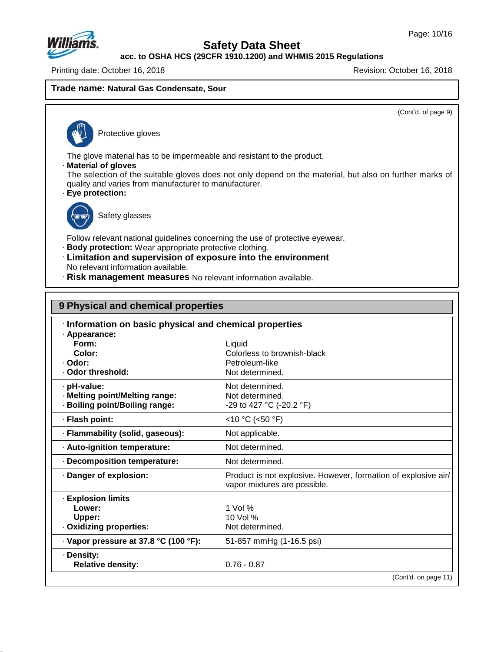

**acc. to OSHA HCS (29CFR 1910.1200) and WHMIS 2015 Regulations**

Printing date: October 16, 2018 Revision: October 16, 2018

#### **Trade name: Natural Gas Condensate, Sour**

(Cont'd. of page 9)

Protective gloves

The glove material has to be impermeable and resistant to the product.

· **Material of gloves**

The selection of the suitable gloves does not only depend on the material, but also on further marks of quality and varies from manufacturer to manufacturer.

· **Eye protection:**



47.0.13

Safety glasses

Follow relevant national guidelines concerning the use of protective eyewear.

- · **Body protection:** Wear appropriate protective clothing.
- · **Limitation and supervision of exposure into the environment** No relevant information available.
- · **Risk management measures** No relevant information available.

| 9 Physical and chemical properties                                     |                                                                                                |  |
|------------------------------------------------------------------------|------------------------------------------------------------------------------------------------|--|
| Information on basic physical and chemical properties<br>· Appearance: |                                                                                                |  |
| Form:                                                                  | Liquid                                                                                         |  |
| Color:                                                                 | Colorless to brownish-black                                                                    |  |
| · Odor:                                                                | Petroleum-like                                                                                 |  |
| · Odor threshold:                                                      | Not determined.                                                                                |  |
| · pH-value:                                                            | Not determined.                                                                                |  |
| · Melting point/Melting range:                                         | Not determined.                                                                                |  |
| · Boiling point/Boiling range:                                         | -29 to 427 °C (-20.2 °F)                                                                       |  |
| · Flash point:                                                         | <10 °C (<50 °F)                                                                                |  |
| · Flammability (solid, gaseous):                                       | Not applicable.                                                                                |  |
| · Auto-ignition temperature:                                           | Not determined.                                                                                |  |
| Decomposition temperature:                                             | Not determined.                                                                                |  |
| · Danger of explosion:                                                 | Product is not explosive. However, formation of explosive air/<br>vapor mixtures are possible. |  |
| · Explosion limits                                                     |                                                                                                |  |
| Lower:                                                                 | $1$ Vol %                                                                                      |  |
| Upper:                                                                 | 10 Vol %                                                                                       |  |
| · Oxidizing properties:                                                | Not determined.                                                                                |  |
| · Vapor pressure at 37.8 °C (100 °F):                                  | 51-857 mmHg (1-16.5 psi)                                                                       |  |
| · Density:                                                             |                                                                                                |  |
| <b>Relative density:</b>                                               | $0.76 - 0.87$                                                                                  |  |
|                                                                        | (Cont'd. on page 11)                                                                           |  |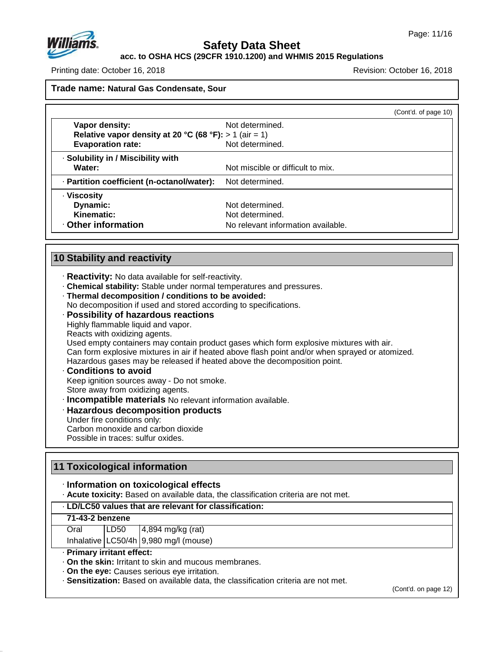

**acc. to OSHA HCS (29CFR 1910.1200) and WHMIS 2015 Regulations**

Printing date: October 16, 2018 Revision: October 16, 2018

**Trade name: Natural Gas Condensate, Sour**

|                                                          |                                    | (Cont'd. of page 10) |
|----------------------------------------------------------|------------------------------------|----------------------|
| Vapor density:                                           | Not determined.                    |                      |
| Relative vapor density at 20 °C (68 °F): $> 1$ (air = 1) |                                    |                      |
| <b>Evaporation rate:</b>                                 | Not determined.                    |                      |
| · Solubility in / Miscibility with                       |                                    |                      |
| Water:                                                   | Not miscible or difficult to mix.  |                      |
| · Partition coefficient (n-octanol/water):               | Not determined.                    |                      |
| · Viscosity                                              |                                    |                      |
| Dynamic:                                                 | Not determined.                    |                      |
| Kinematic:                                               | Not determined.                    |                      |
| Other information                                        | No relevant information available. |                      |

## **10 Stability and reactivity**

- · **Reactivity:** No data available for self-reactivity.
- · **Chemical stability:** Stable under normal temperatures and pressures.
- · **Thermal decomposition / conditions to be avoided:**

No decomposition if used and stored according to specifications.

· **Possibility of hazardous reactions** Highly flammable liquid and vapor. Reacts with oxidizing agents.

Used empty containers may contain product gases which form explosive mixtures with air. Can form explosive mixtures in air if heated above flash point and/or when sprayed or atomized. Hazardous gases may be released if heated above the decomposition point.

#### · **Conditions to avoid** Keep ignition sources away - Do not smoke. Store away from oxidizing agents.

· **Incompatible materials** No relevant information available.

- · **Hazardous decomposition products**
- Under fire conditions only:

Carbon monoxide and carbon dioxide

Possible in traces: sulfur oxides.

## **11 Toxicological information**

#### · **Information on toxicological effects**

· **Acute toxicity:** Based on available data, the classification criteria are not met.

#### · **LD/LC50 values that are relevant for classification:**

#### **71-43-2 benzene**

47.0.13

| Oral | LD50 | $4,894$ mg/kg (rat)                      |
|------|------|------------------------------------------|
|      |      | Inhalative $ LC50/4h 9,980$ mg/l (mouse) |

#### · **Primary irritant effect:**

· **On the skin:** Irritant to skin and mucous membranes.

· **On the eye:** Causes serious eye irritation.

· **Sensitization:** Based on available data, the classification criteria are not met.

(Cont'd. on page 12)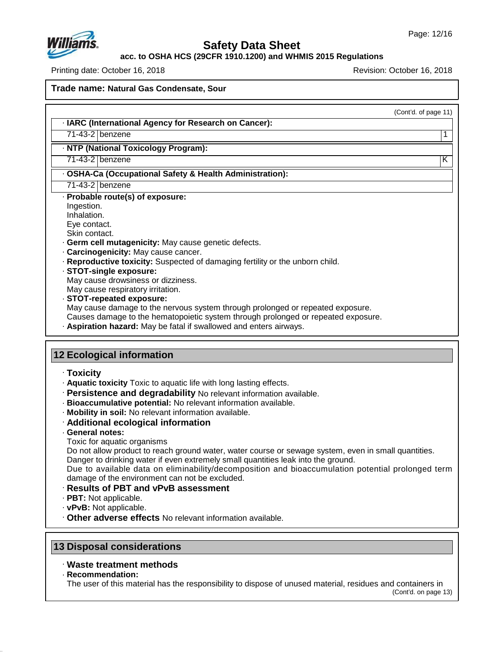

**acc. to OSHA HCS (29CFR 1910.1200) and WHMIS 2015 Regulations**

Printing date: October 16, 2018 Revision: October 16, 2018

**Trade name: Natural Gas Condensate, Sour**

(Cont'd. of page 11)

#### · **IARC (International Agency for Research on Cancer):**

71-43-2 benzene 1

#### · **NTP (National Toxicology Program):**

71-43-2 benzene K

#### · **OSHA-Ca (Occupational Safety & Health Administration):**

71-43-2 benzene

· **Probable route(s) of exposure:**

Ingestion.

Inhalation. Eye contact.

Skin contact.

- · **Germ cell mutagenicity:** May cause genetic defects.
- · **Carcinogenicity:** May cause cancer.
- · **Reproductive toxicity:** Suspected of damaging fertility or the unborn child.
- · **STOT-single exposure:**

May cause drowsiness or dizziness.

May cause respiratory irritation.

· **STOT-repeated exposure:**

May cause damage to the nervous system through prolonged or repeated exposure.

- Causes damage to the hematopoietic system through prolonged or repeated exposure.
- · **Aspiration hazard:** May be fatal if swallowed and enters airways.

## **12 Ecological information**

#### · **Toxicity**

- · **Aquatic toxicity** Toxic to aquatic life with long lasting effects.
- · **Persistence and degradability** No relevant information available.
- · **Bioaccumulative potential:** No relevant information available.
- · **Mobility in soil:** No relevant information available.
- · **Additional ecological information**
- · **General notes:**

Toxic for aquatic organisms

Do not allow product to reach ground water, water course or sewage system, even in small quantities. Danger to drinking water if even extremely small quantities leak into the ground.

Due to available data on eliminability/decomposition and bioaccumulation potential prolonged term damage of the environment can not be excluded.

## · **Results of PBT and vPvB assessment**

· **PBT:** Not applicable.

- · **vPvB:** Not applicable.
- · **Other adverse effects** No relevant information available.

## **13 Disposal considerations**

## · **Waste treatment methods**

· **Recommendation:**

47.0.13

The user of this material has the responsibility to dispose of unused material, residues and containers in

(Cont'd. on page 13)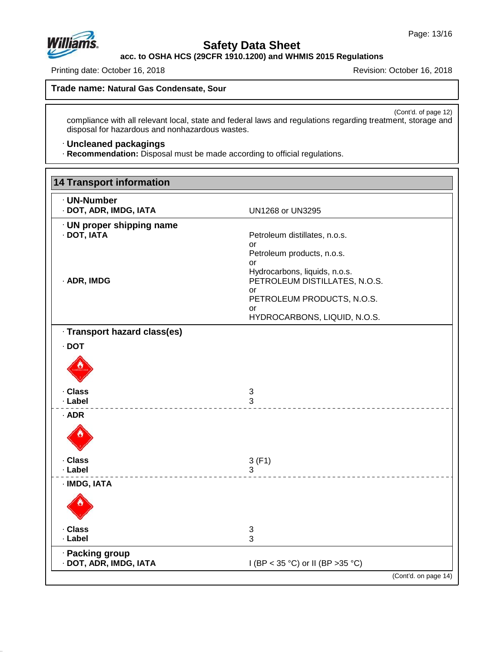

## **Safety Data Sheet**

**acc. to OSHA HCS (29CFR 1910.1200) and WHMIS 2015 Regulations**

Printing date: October 16, 2018 **Printing date: October 16, 2018** 

**Trade name: Natural Gas Condensate, Sour**

(Cont'd. of page 12) compliance with all relevant local, state and federal laws and regulations regarding treatment, storage and disposal for hazardous and nonhazardous wastes.

#### · **Uncleaned packagings**

· **Recommendation:** Disposal must be made according to official regulations.

| <b>UN1268 or UN3295</b>             |
|-------------------------------------|
| Petroleum distillates, n.o.s.       |
| or<br>Petroleum products, n.o.s.    |
| or<br>Hydrocarbons, liquids, n.o.s. |
| PETROLEUM DISTILLATES, N.O.S.<br>or |
| PETROLEUM PRODUCTS, N.O.S.<br>or    |
| HYDROCARBONS, LIQUID, N.O.S.        |
|                                     |
|                                     |
|                                     |
| 3<br>3                              |
|                                     |
|                                     |
| 3(F1)<br>3                          |
|                                     |
|                                     |
| 3<br>3                              |
|                                     |
| I (BP < 35 °C) or II (BP > 35 °C)   |
|                                     |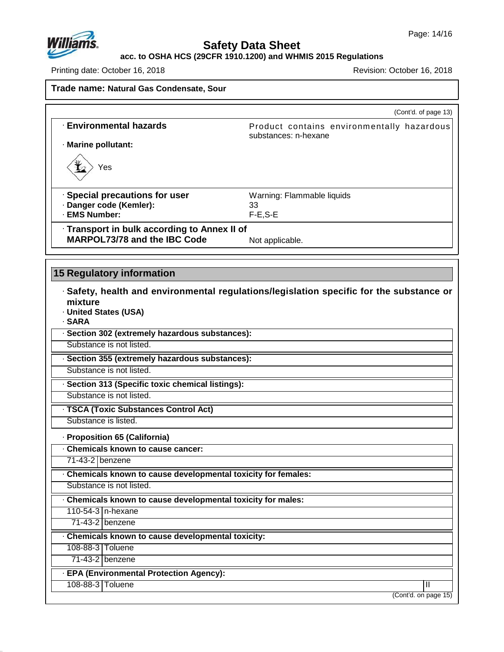

## **Safety Data Sheet**

**acc. to OSHA HCS (29CFR 1910.1200) and WHMIS 2015 Regulations**

Printing date: October 16, 2018 **Printing date: October 16, 2018** 

| Trade name: Natural Gas Condensate, Sour |
|------------------------------------------|
|------------------------------------------|

|                                                                              | (Cont'd. of page 13)                                                                     |
|------------------------------------------------------------------------------|------------------------------------------------------------------------------------------|
| <b>Environmental hazards</b>                                                 | Product contains environmentally hazardous<br>substances: n-hexane                       |
| · Marine pollutant:                                                          |                                                                                          |
| Yes                                                                          |                                                                                          |
| · Special precautions for user                                               | Warning: Flammable liquids                                                               |
| · Danger code (Kemler):                                                      | 33                                                                                       |
| · EMS Number:                                                                | $F-E, S-E$                                                                               |
| · Transport in bulk according to Annex II of<br>MARPOL73/78 and the IBC Code |                                                                                          |
|                                                                              | Not applicable.                                                                          |
|                                                                              |                                                                                          |
| <b>15 Regulatory information</b>                                             |                                                                                          |
| mixture<br>· United States (USA)<br>· SARA                                   | · Safety, health and environmental regulations/legislation specific for the substance or |
| · Section 302 (extremely hazardous substances):                              |                                                                                          |
| Substance is not listed.                                                     |                                                                                          |
| · Section 355 (extremely hazardous substances):                              |                                                                                          |
| Substance is not listed.                                                     |                                                                                          |
|                                                                              |                                                                                          |
| · Section 313 (Specific toxic chemical listings):                            |                                                                                          |
| Substance is not listed.                                                     |                                                                                          |
| · TSCA (Toxic Substances Control Act)                                        |                                                                                          |
| Substance is listed.                                                         |                                                                                          |
| · Proposition 65 (California)                                                |                                                                                          |
| . Chemicals known to cause cancer:                                           |                                                                                          |
| 71-43-2 benzene                                                              |                                                                                          |
| Chemicals known to cause developmental toxicity for females:                 |                                                                                          |
| Substance is not listed.                                                     |                                                                                          |
| Chemicals known to cause developmental toxicity for males:                   |                                                                                          |
| 110-54-3   n-hexane                                                          |                                                                                          |
| $71-43-2$ benzene                                                            |                                                                                          |
| Chemicals known to cause developmental toxicity:                             |                                                                                          |
| 108-88-3 Toluene                                                             |                                                                                          |
| 71-43-2 benzene                                                              |                                                                                          |
| · EPA (Environmental Protection Agency):<br>108-88-3 Toluene                 | Ш                                                                                        |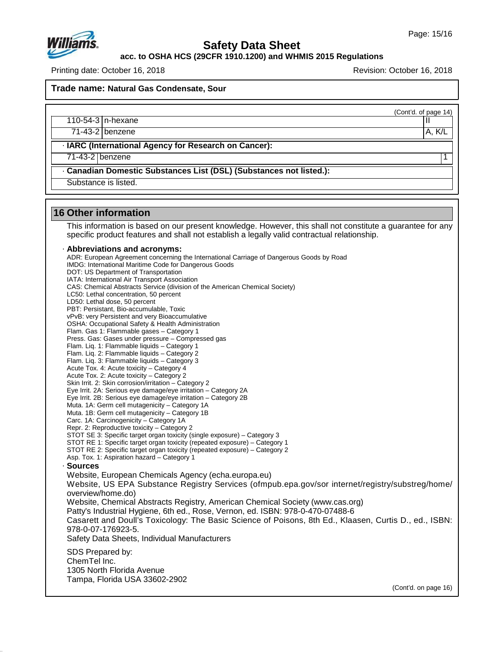

**acc. to OSHA HCS (29CFR 1910.1200) and WHMIS 2015 Regulations**

Printing date: October 16, 2018 **Printing date: October 16, 2018** Revision: October 16, 2018

**Trade name: Natural Gas Condensate, Sour**

(Cont'd. of page 14)

110-54-3 n-hexane II

71-43-2 benzene A, K/L

· **IARC (International Agency for Research on Cancer):**

71-43-2 benzene 1

· **Canadian Domestic Substances List (DSL) (Substances not listed.):**

Substance is listed.

## **16 Other information**

47.0.13

This information is based on our present knowledge. However, this shall not constitute a guarantee for any specific product features and shall not establish a legally valid contractual relationship.

#### · **Abbreviations and acronyms:**

ADR: European Agreement concerning the International Carriage of Dangerous Goods by Road IMDG: International Maritime Code for Dangerous Goods DOT: US Department of Transportation IATA: International Air Transport Association CAS: Chemical Abstracts Service (division of the American Chemical Society) LC50: Lethal concentration, 50 percent LD50: Lethal dose, 50 percent PBT: Persistant, Bio-accumulable, Toxic vPvB: very Persistent and very Bioaccumulative OSHA: Occupational Safety & Health Administration Flam. Gas 1: Flammable gases – Category 1 Press. Gas: Gases under pressure – Compressed gas Flam. Liq. 1: Flammable liquids – Category 1 Flam. Liq. 2: Flammable liquids – Category 2 Flam. Liq. 3: Flammable liquids – Category 3 Acute Tox. 4: Acute toxicity – Category 4 Acute Tox. 2: Acute toxicity – Category 2 Skin Irrit. 2: Skin corrosion/irritation – Category 2 Eye Irrit.2A: Serious eye damage/eye irritation – Category 2A Eye Irrit.2B: Serious eye damage/eye irritation – Category 2B Muta. 1A: Germ cell mutagenicity – Category 1A Muta. 1B: Germ cell mutagenicity – Category 1B Carc. 1A: Carcinogenicity – Category 1A Repr. 2: Reproductive toxicity – Category 2 STOT SE 3: Specific target organ toxicity (single exposure) – Category 3 STOT RE 1: Specific target organ toxicity (repeated exposure) – Category 1 STOT RE 2: Specific target organ toxicity (repeated exposure) – Category 2 Asp. Tox. 1: Aspiration hazard – Category 1 · **Sources** Website, European Chemicals Agency (echa.europa.eu) Website, US EPA Substance Registry Services (ofmpub.epa.gov/sor internet/registry/substreg/home/ overview/home.do) Website, Chemical Abstracts Registry, American Chemical Society (www.cas.org) Patty's Industrial Hygiene, 6th ed., Rose, Vernon, ed. ISBN: 978-0-470-07488-6 Casarett and Doull's Toxicology: The Basic Science of Poisons, 8th Ed., Klaasen, Curtis D.,ed., ISBN: 978-0-07-176923-5. Safety Data Sheets, Individual Manufacturers SDS Prepared by: ChemTel Inc. 1305 North Florida Avenue Tampa, Florida USA 33602-2902 (Cont'd. on page 16)